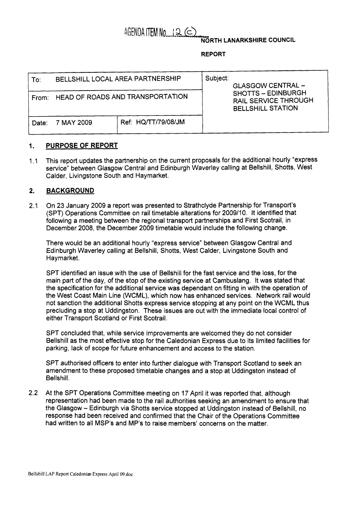# AGENDA ITEM No $\Box$  2  $\subset$

**NORTH LANARKSHIRE COUNCIL** 

#### **REPORT**

| To:   | BELLSHILL LOCAL AREA PARTNERSHIP |                     | Subject:<br><b>GLASGOW CENTRAL -</b><br>SHOTTS - EDINBURGH<br><b>RAIL SERVICE THROUGH</b><br><b>BELLSHILL STATION</b> |
|-------|----------------------------------|---------------------|-----------------------------------------------------------------------------------------------------------------------|
| From: | HEAD OF ROADS AND TRANSPORTATION |                     |                                                                                                                       |
| Date: | 7 MAY 2009                       | Ref: HQ/TT/79/08/JM |                                                                                                                       |

## **1. PURPOSE OF REPORT**

1.1 This report updates the partnership on the current proposals for the additional hourly "express service" between Glasgow Central and Edinburgh Waverley calling at Bellshill, Shotts, West Calder, Livingstone South and Haymarket.

### **2. BACKGROUND**

2.1 On 23 January 2009 a report was presented to Strathclyde Partnership for Transport's (SPT) Operations Committee on rail timetable alterations for 2009/10. It identified that following a meeting between the regional transport partnerships and First Scotrail, in December 2008, the December 2009 timetable would include the following change.

There would be an additional hourly "express service" between Glasgow Central and Edinburgh Waverley calling at Bellshill, Shotts, West Calder, Livingstone South and Haymarket.

SPT identified an issue with the use of Bellshill for the fast service and the loss, for the main part of the day, of the stop of the existing service at Cambuslang. It was stated that the specification for the additional service was dependant on fitting in with the operation of the West Coast Main Line (WCML), which now has enhanced services. Network rail would not sanction the additional Shotts express service stopping at any point on the WCML thus precluding a stop at Uddingston. These issues are out with the immediate local control of either Transport Scotland or First Scotrail.

SPT concluded that, while service improvements are welcomed they do not consider Bellshill as the most effective stop for the Caledonian Express due to its limited facilities for parking, lack of scope for future enhancement and access to the station.

SPT authorised officers to enter into further dialogue with Transport Scotland to seek an amendment to these proposed timetable changes and a stop at Uddingston instead of Bellshill.

2.2 At the SPT Operations Committee meeting on 17 April it was reported that, although representation had been made to the rail authorities seeking an amendment to ensure that the Glasgow - Edinburgh via Shotts service stopped at Uddingston instead of Bellshill, no response had been received and confirmed that the Chair of the Operations Committee had written to all MSP's and MP's to raise members' concerns on the matter.